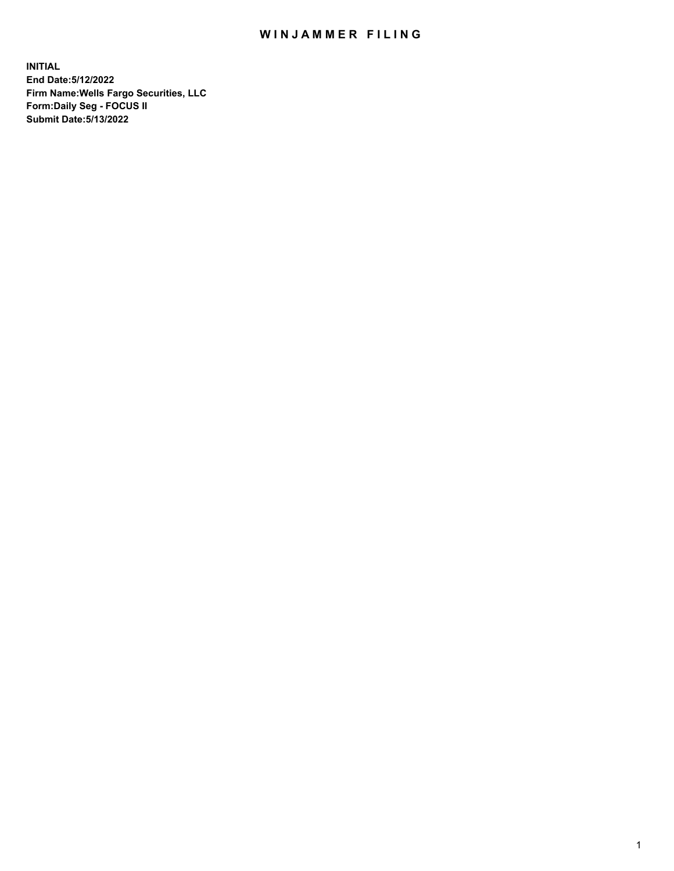## WIN JAMMER FILING

**INITIAL End Date:5/12/2022 Firm Name:Wells Fargo Securities, LLC Form:Daily Seg - FOCUS II Submit Date:5/13/2022**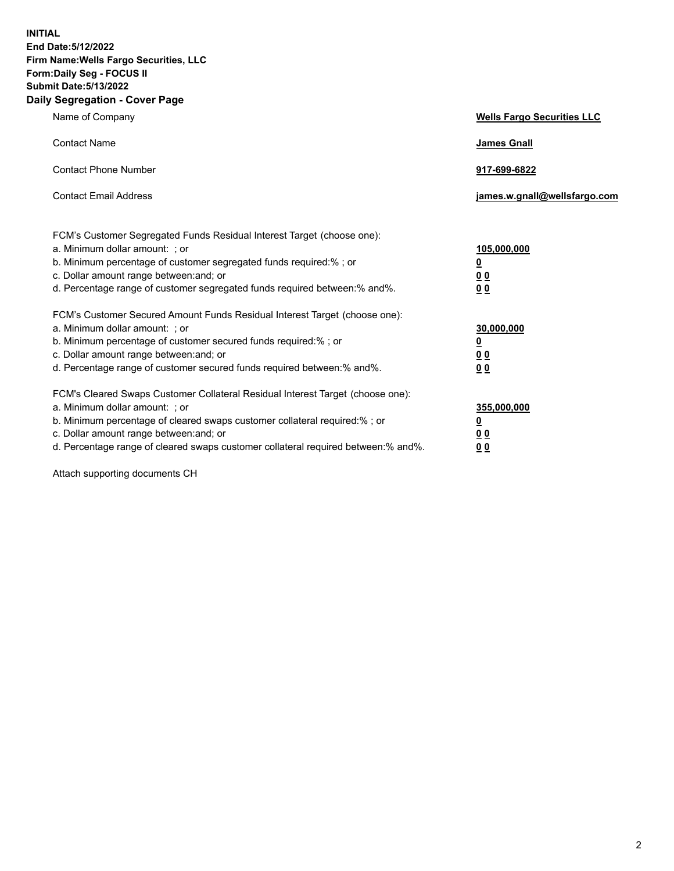**INITIAL End Date:5/12/2022 Firm Name:Wells Fargo Securities, LLC Form:Daily Seg - FOCUS II Submit Date:5/13/2022 Daily Segregation - Cover Page**

| Name of Company                                                                                                                                                                                                                                                                                                                | <b>Wells Fargo Securities LLC</b>                          |
|--------------------------------------------------------------------------------------------------------------------------------------------------------------------------------------------------------------------------------------------------------------------------------------------------------------------------------|------------------------------------------------------------|
| <b>Contact Name</b>                                                                                                                                                                                                                                                                                                            | <b>James Gnall</b>                                         |
| <b>Contact Phone Number</b>                                                                                                                                                                                                                                                                                                    | 917-699-6822                                               |
| <b>Contact Email Address</b>                                                                                                                                                                                                                                                                                                   | james.w.gnall@wellsfargo.com                               |
| FCM's Customer Segregated Funds Residual Interest Target (choose one):<br>a. Minimum dollar amount: ; or<br>b. Minimum percentage of customer segregated funds required:% ; or<br>c. Dollar amount range between: and; or<br>d. Percentage range of customer segregated funds required between:% and%.                         | 105,000,000<br><u>0</u><br>0 <sub>0</sub><br>00            |
| FCM's Customer Secured Amount Funds Residual Interest Target (choose one):<br>a. Minimum dollar amount: ; or<br>b. Minimum percentage of customer secured funds required:%; or<br>c. Dollar amount range between: and; or<br>d. Percentage range of customer secured funds required between:% and%.                            | 30,000,000<br><u>0</u><br>0 <sub>0</sub><br>0 <sub>0</sub> |
| FCM's Cleared Swaps Customer Collateral Residual Interest Target (choose one):<br>a. Minimum dollar amount: ; or<br>b. Minimum percentage of cleared swaps customer collateral required:% ; or<br>c. Dollar amount range between: and; or<br>d. Percentage range of cleared swaps customer collateral required between:% and%. | 355,000,000<br><u>0</u><br>00<br>00                        |

Attach supporting documents CH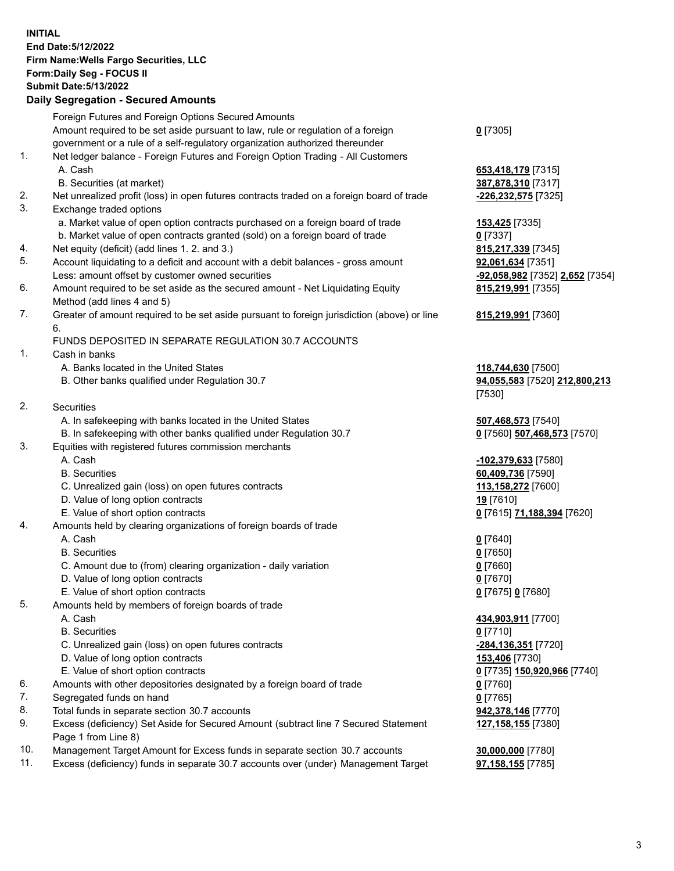**INITIAL End Date:5/12/2022 Firm Name:Wells Fargo Securities, LLC Form:Daily Seg - FOCUS II Submit Date:5/13/2022 Daily Segregation - Secured Amounts**

## Foreign Futures and Foreign Options Secured Amounts Amount required to be set aside pursuant to law, rule or regulation of a foreign government or a rule of a self-regulatory organization authorized thereunder 1. Net ledger balance - Foreign Futures and Foreign Option Trading - All Customers A. Cash **653,418,179** [7315] B. Securities (at market) **387,878,310** [7317] 2. Net unrealized profit (loss) in open futures contracts traded on a foreign board of trade **-226,232,575** [7325] 3. Exchange traded options a. Market value of open option contracts purchased on a foreign board of trade **153,425** [7335] b. Market value of open contracts granted (sold) on a foreign board of trade **0** [7337] 4. Net equity (deficit) (add lines 1. 2. and 3.) **815,217,339** [7345] 5. Account liquidating to a deficit and account with a debit balances - gross amount **92,061,634** [7351] Less: amount offset by customer owned securities **-92,058,982** [7352] **2,652** [7354] 6. Amount required to be set aside as the secured amount - Net Liquidating Equity Method (add lines 4 and 5) 7. Greater of amount required to be set aside pursuant to foreign jurisdiction (above) or line 6. FUNDS DEPOSITED IN SEPARATE REGULATION 30.7 ACCOUNTS

1. Cash in banks

- A. Banks located in the United States **118,744,630** [7500]
- B. Other banks qualified under Regulation 30.7 **94,055,583** [7520] **212,800,213**

| 2.<br>Securities |
|------------------|
|                  |

- A. In safekeeping with banks located in the United States **507,468,573** [7540]
- B. In safekeeping with other banks qualified under Regulation 30.7 **0** [7560] **507,468,573** [7570]
- 3. Equities with registered futures commission merchants
	-
	-
	- C. Unrealized gain (loss) on open futures contracts **113,158,272** [7600]
	- D. Value of long option contracts **19** [7610]
	- E. Value of short option contracts **0** [7615] **71,188,394** [7620]
- 4. Amounts held by clearing organizations of foreign boards of trade

## A. Cash **0** [7640]

- B. Securities **0** [7650]
- C. Amount due to (from) clearing organization daily variation **0** [7660]
- D. Value of long option contracts **0** [7670]
- E. Value of short option contracts **0** [7675] **0** [7680]
- 5. Amounts held by members of foreign boards of trade
	-
	- B. Securities **0** [7710]
	- C. Unrealized gain (loss) on open futures contracts **-284,136,351** [7720]
	- D. Value of long option contracts **153,406** [7730]
	- E. Value of short option contracts **0** [7735] **150,920,966** [7740]
- 6. Amounts with other depositories designated by a foreign board of trade **0** [7760]
- 7. Segregated funds on hand **0** [7765]
- 8. Total funds in separate section 30.7 accounts **942,378,146** [7770]
- 9. Excess (deficiency) Set Aside for Secured Amount (subtract line 7 Secured Statement Page 1 from Line 8)
- 10. Management Target Amount for Excess funds in separate section 30.7 accounts **30,000,000** [7780]
- 11. Excess (deficiency) funds in separate 30.7 accounts over (under) Management Target **97,158,155** [7785]

**0** [7305]

**815,219,991** [7355]

## **815,219,991** [7360]

[7530]

 A. Cash **-102,379,633** [7580] B. Securities **60,409,736** [7590]

 A. Cash **434,903,911** [7700] **127,158,155** [7380]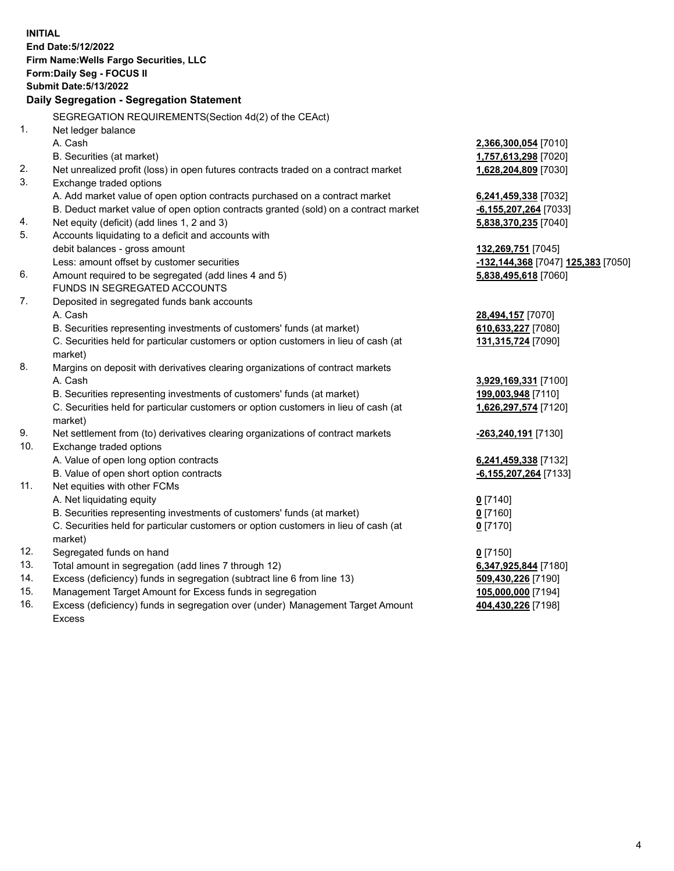**INITIAL End Date:5/12/2022 Firm Name:Wells Fargo Securities, LLC Form:Daily Seg - FOCUS II Submit Date:5/13/2022 Daily Segregation - Segregation Statement** SEGREGATION REQUIREMENTS(Section 4d(2) of the CEAct) 1. Net ledger balance A. Cash **2,366,300,054** [7010] B. Securities (at market) **1,757,613,298** [7020] 2. Net unrealized profit (loss) in open futures contracts traded on a contract market **1,628,204,809** [7030] 3. Exchange traded options A. Add market value of open option contracts purchased on a contract market **6,241,459,338** [7032] B. Deduct market value of open option contracts granted (sold) on a contract market **-6,155,207,264** [7033] 4. Net equity (deficit) (add lines 1, 2 and 3) **5,838,370,235** [7040] 5. Accounts liquidating to a deficit and accounts with debit balances - gross amount **132,269,751** [7045] Less: amount offset by customer securities **-132,144,368** [7047] **125,383** [7050] 6. Amount required to be segregated (add lines 4 and 5) **5,838,495,618** [7060] FUNDS IN SEGREGATED ACCOUNTS 7. Deposited in segregated funds bank accounts A. Cash **28,494,157** [7070] B. Securities representing investments of customers' funds (at market) **610,633,227** [7080] C. Securities held for particular customers or option customers in lieu of cash (at market) **131,315,724** [7090] 8. Margins on deposit with derivatives clearing organizations of contract markets A. Cash **3,929,169,331** [7100] B. Securities representing investments of customers' funds (at market) **199,003,948** [7110] C. Securities held for particular customers or option customers in lieu of cash (at market) **1,626,297,574** [7120] 9. Net settlement from (to) derivatives clearing organizations of contract markets **-263,240,191** [7130] 10. Exchange traded options A. Value of open long option contracts **6,241,459,338** [7132] B. Value of open short option contracts **-6,155,207,264** [7133] 11. Net equities with other FCMs A. Net liquidating equity **0** [7140] B. Securities representing investments of customers' funds (at market) **0** [7160] C. Securities held for particular customers or option customers in lieu of cash (at market) **0** [7170] 12. Segregated funds on hand **0** [7150] 13. Total amount in segregation (add lines 7 through 12) **6,347,925,844** [7180] 14. Excess (deficiency) funds in segregation (subtract line 6 from line 13) **509,430,226** [7190] 15. Management Target Amount for Excess funds in segregation **105,000,000** [7194] 16. Excess (deficiency) funds in segregation over (under) Management Target Amount **404,430,226** [7198]

Excess